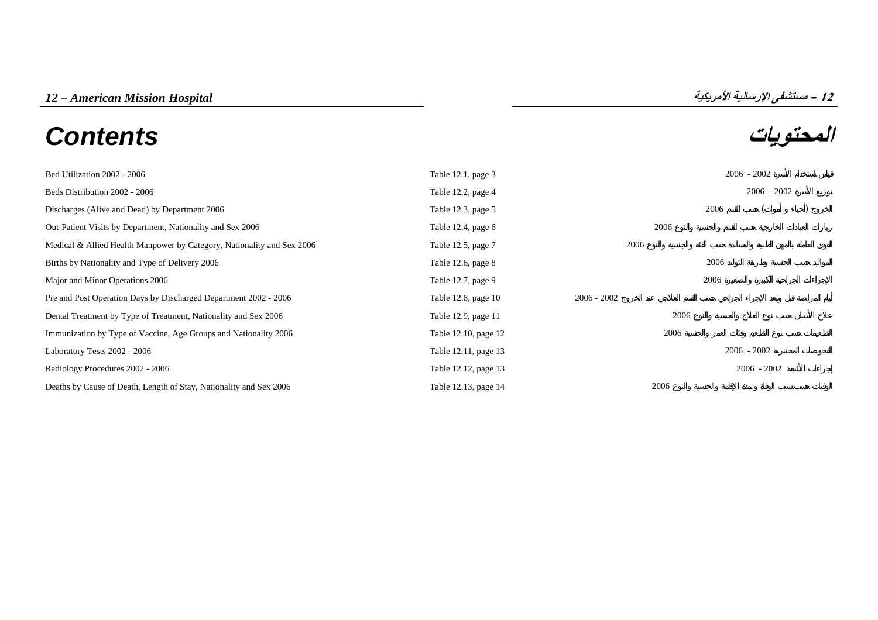# **المحتويات** *Contents*



| Bed Utilization 2002 - 2006                                            | Table 12.1, page 3   |               |      |      | $2006 - 2002$ |  |
|------------------------------------------------------------------------|----------------------|---------------|------|------|---------------|--|
| Beds Distribution 2002 - 2006                                          | Table 12.2, page 4   |               |      |      | $2006 - 2002$ |  |
| Discharges (Alive and Dead) by Department 2006                         | Table 12.3, page 5   |               |      | 2006 |               |  |
| Out-Patient Visits by Department, Nationality and Sex 2006             | Table 12.4, page $6$ |               | 2006 |      |               |  |
| Medical & Allied Health Manpower by Category, Nationality and Sex 2006 | Table 12.5, page 7   | 2006          |      |      |               |  |
| Births by Nationality and Type of Delivery 2006                        | Table 12.6, page 8   |               |      | 2006 |               |  |
| Major and Minor Operations 2006                                        | Table 12.7, page 9   |               |      | 2006 |               |  |
| Pre and Post Operation Days by Discharged Department 2002 - 2006       | Table 12.8, page 10  | $2006 - 2002$ |      |      |               |  |
| Dental Treatment by Type of Treatment, Nationality and Sex 2006        | Table 12.9, page 11  |               | 2006 |      |               |  |
| Immunization by Type of Vaccine, Age Groups and Nationality 2006       | Table 12.10, page 12 |               | 2006 |      |               |  |
| Laboratory Tests 2002 - 2006                                           | Table 12.11, page 13 |               |      |      | $2006 - 2002$ |  |
| Radiology Procedures 2002 - 2006                                       | Table 12.12, page 13 |               |      |      | $2006 - 2002$ |  |
| Deaths by Cause of Death, Length of Stay, Nationality and Sex 2006     | Table 12.13, page 14 |               | 2006 |      |               |  |

**12**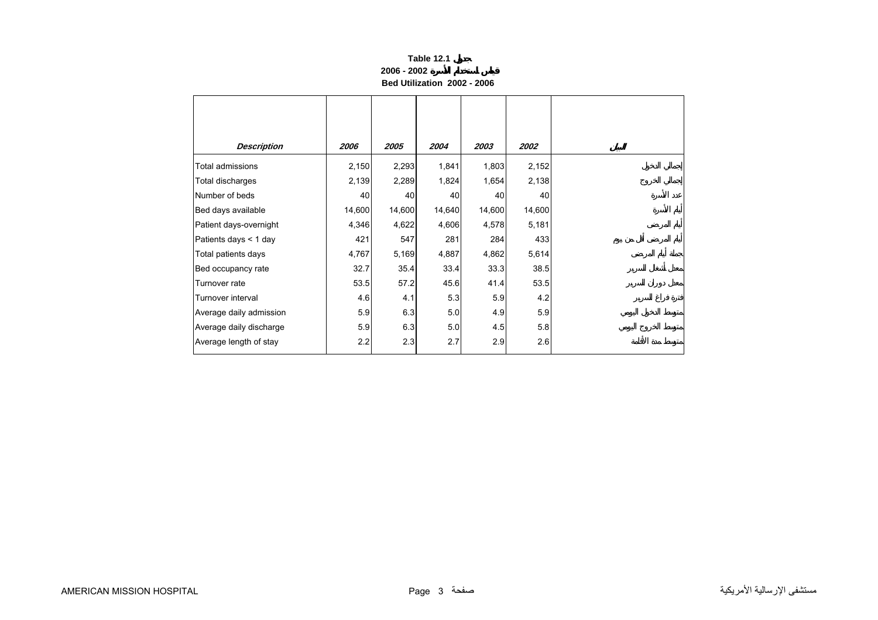#### **Table 12.1 2006 - 2002Bed Utilization 2002 - 2006**

<span id="page-1-0"></span>

| <b>Description</b>      | 2006   | 2005   | 2004   | 2003   | <i><b>2002</b></i> |
|-------------------------|--------|--------|--------|--------|--------------------|
| Total admissions        | 2,150  | 2,293  | 1,841  | 1,803  | 2,152              |
| Total discharges        | 2,139  | 2,289  | 1,824  | 1,654  | 2,138              |
| Number of beds          | 40     | 40     | 40     | 40     | 40                 |
| Bed days available      | 14,600 | 14,600 | 14,640 | 14,600 | 14,600             |
| Patient days-overnight  | 4,346  | 4,622  | 4,606  | 4,578  | 5,181              |
| Patients days < 1 day   | 421    | 547    | 281    | 284    | 433                |
| Total patients days     | 4,767  | 5,169  | 4,887  | 4,862  | 5,614              |
| Bed occupancy rate      | 32.7   | 35.4   | 33.4   | 33.3   | 38.5               |
| Turnover rate           | 53.5   | 57.2   | 45.6   | 41.4   | 53.5               |
| Turnover interval       | 4.6    | 4.1    | 5.3    | 5.9    | 4.2                |
| Average daily admission | 5.9    | 6.3    | 5.0    | 4.9    | 5.9                |
| Average daily discharge | 5.9    | 6.3    | 5.0    | 4.5    | 5.8                |
| Average length of stay  | 2.2    | 2.3    | 2.7    | 2.9    | 2.6                |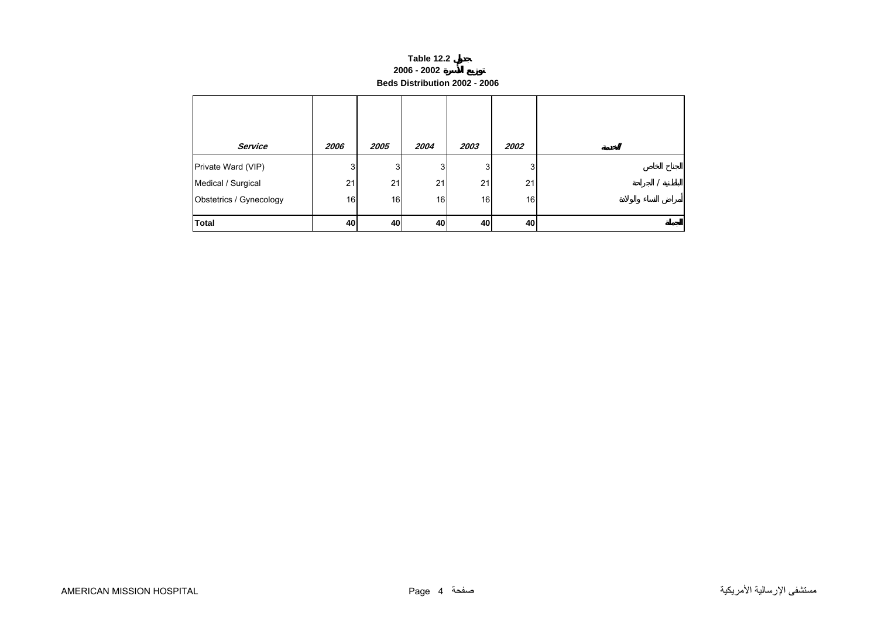#### **Table 12.2 2006 - 2002 Beds Distribution 2002 - 2006**

<span id="page-2-0"></span>

| Service                 | 2006 | 2005 | 2004           | 2003 | 2002 |  |
|-------------------------|------|------|----------------|------|------|--|
| Private Ward (VIP)      | 3    | 3    | 3 <sup>1</sup> | 3    | 3    |  |
| Medical / Surgical      | 21   | 21   | 21             | 21   | 21   |  |
| Obstetrics / Gynecology | 16   | 16   | 16             | 16   | 16   |  |
| <b>Total</b>            | 40   | 40   | 40             | 40   | 40   |  |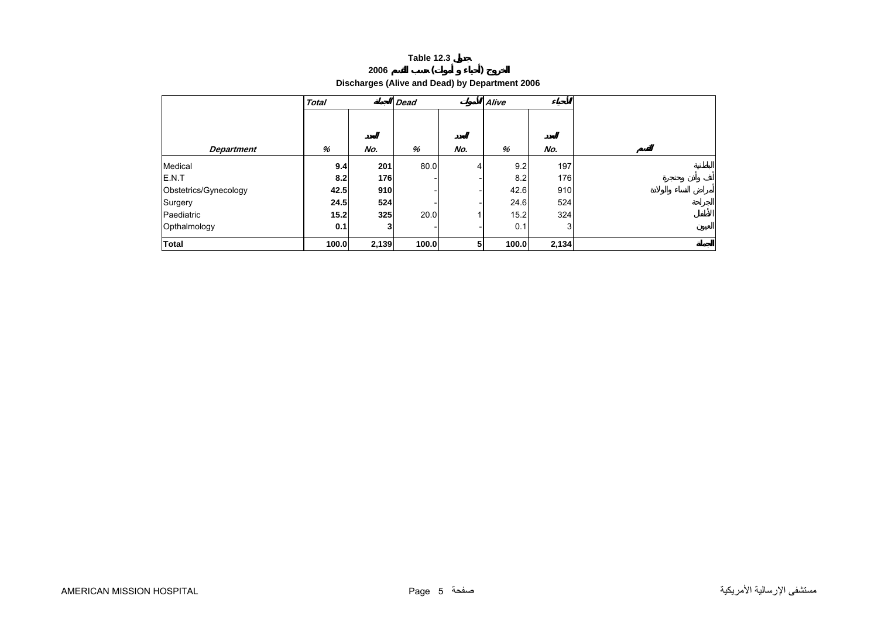|                                                | <b>Table 12.3</b> |  |
|------------------------------------------------|-------------------|--|
| 2006                                           |                   |  |
| Discharges (Alive and Dead) by Department 2006 |                   |  |

<span id="page-3-0"></span>

|                       | <b>Total</b> |       | <b>Dead</b> |     | Alive |       |  |
|-----------------------|--------------|-------|-------------|-----|-------|-------|--|
|                       |              |       |             |     |       |       |  |
| <b>Department</b>     | %            | No.   | %           | No. | %     | No.   |  |
| Medical               | 9.4          | 201   | 80.0        | 4   | 9.2   | 197   |  |
| E.N.T                 | 8.2          | 176   |             |     | 8.2   | 176   |  |
| Obstetrics/Gynecology | 42.5         | 910   |             |     | 42.6  | 910   |  |
| Surgery               | 24.5         | 524   |             |     | 24.6  | 524   |  |
| Paediatric            | 15.2         | 325   | 20.0        |     | 15.2  | 324   |  |
| Opthalmology          | 0.1          | 3     |             |     | 0.1   | 3     |  |
| <b>Total</b>          | 100.0        | 2,139 | 100.0       | 5   | 100.0 | 2,134 |  |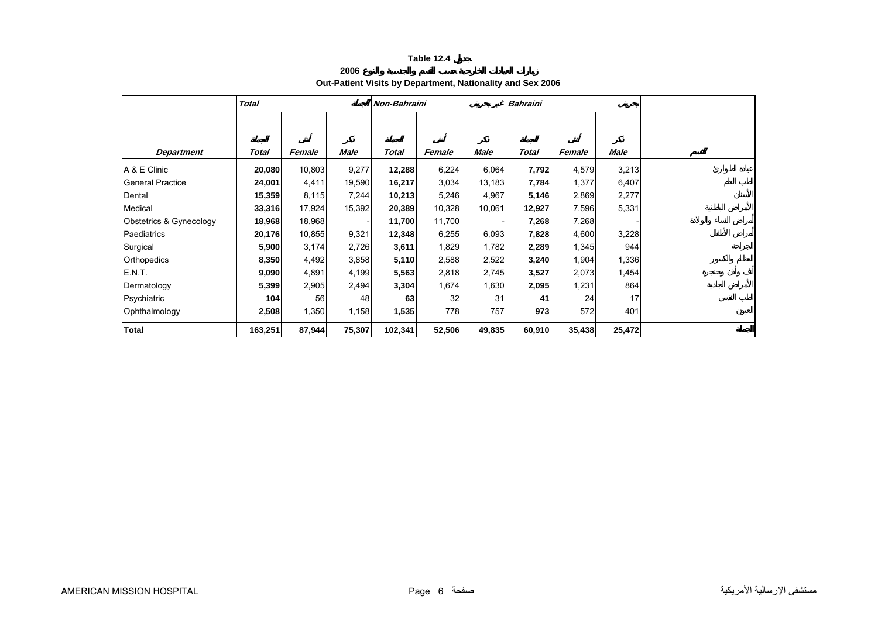# **2006Out-Patient Visits by Department, Nationality and Sex 2006**

<span id="page-4-0"></span>

|                         | <b>Total</b> |        |        | Non-Bahraini |        |        | <b>Bahraini</b> |        |        |
|-------------------------|--------------|--------|--------|--------------|--------|--------|-----------------|--------|--------|
|                         |              |        |        |              |        |        |                 |        |        |
|                         |              |        |        |              |        |        |                 |        |        |
| <b>Department</b>       | Total        | Female | Male   | <b>Total</b> | Female | Male   | Total           | Female | Male   |
| A & E Clinic            | 20,080       | 10,803 | 9,277  | 12,288       | 6,224  | 6,064  | 7,792           | 4,579  | 3,213  |
| l General Practice      | 24,001       | 4,411  | 19,590 | 16,217       | 3,034  | 13,183 | 7,784           | 1,377  | 6,407  |
| Dental                  | 15,359       | 8,115  | 7,244  | 10,213       | 5,246  | 4,967  | 5,146           | 2,869  | 2,277  |
| Medical                 | 33,316       | 17,924 | 15,392 | 20,389       | 10,328 | 10,061 | 12,927          | 7,596  | 5,331  |
| Obstetrics & Gynecology | 18,968       | 18,968 |        | 11,700       | 11,700 |        | 7,268           | 7,268  |        |
| Paediatrics             | 20,176       | 10,855 | 9,321  | 12,348       | 6,255  | 6,093  | 7,828           | 4,600  | 3,228  |
| Surgical                | 5,900        | 3,174  | 2,726  | 3,611        | 1,829  | 1,782  | 2,289           | 1,345  | 944    |
| Orthopedics             | 8,350        | 4,492  | 3,858  | 5,110        | 2,588  | 2,522  | 3,240           | 1,904  | 1,336  |
| E.N.T.                  | 9,090        | 4,891  | 4,199  | 5,563        | 2,818  | 2,745  | 3,527           | 2,073  | 1,454  |
| Dermatology             | 5,399        | 2,905  | 2,494  | 3,304        | 1,674  | 1,630  | 2,095           | 1,231  | 864    |
| Psychiatric             | 104          | 56     | 48     | 63           | 32     | 31     | 41              | 24     | 17     |
| Ophthalmology           | 2,508        | 1,350  | 1,158  | 1,535        | 778    | 757    | 973             | 572    | 401    |
| <b>Total</b>            | 163,251      | 87,944 | 75,307 | 102,341      | 52,506 | 49,835 | 60,910          | 35,438 | 25,472 |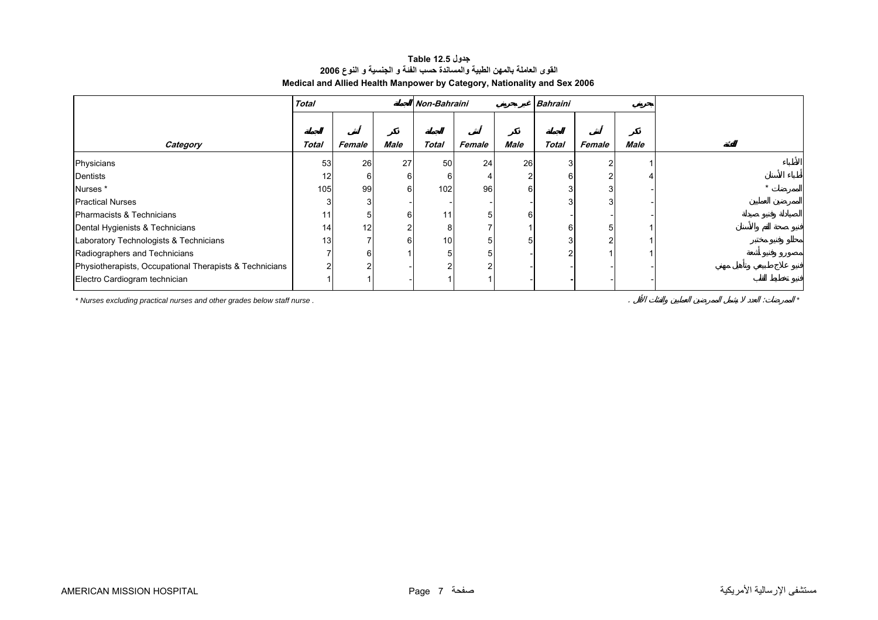### **جدول 12.5 Table القوى العاملة بالمهن الطبية والمساندة حسب الفئة <sup>و</sup> الجنسية <sup>و</sup> النوع <sup>2006</sup> Medical and Allied Health Manpower by Category, Nationality and Sex 2006**

<span id="page-5-0"></span>

|                                                         | <b>Total</b> | Non-Bahraini    |             |                 |        |             | <b>Bahraini</b> |        |      |  |
|---------------------------------------------------------|--------------|-----------------|-------------|-----------------|--------|-------------|-----------------|--------|------|--|
|                                                         |              |                 |             |                 |        |             |                 |        |      |  |
| Category                                                | <b>Total</b> | Female          | <b>Male</b> | <b>Total</b>    | Female | <b>Male</b> | Total           | Female | Male |  |
| Physicians                                              | 53           | 26              | 27          | 50              | 24     | 26          |                 |        |      |  |
| Dentists                                                | 12           | 6               | 6           | 6               |        |             | 6               |        |      |  |
| Nurses*                                                 | 105          | 99 <sub>1</sub> | 6           | 102             | 96     |             |                 |        |      |  |
| <b>Practical Nurses</b>                                 |              | 3               |             |                 |        |             | 3               |        |      |  |
| Pharmacists & Technicians                               | 11           | 5               | 6           | 11              |        |             |                 |        |      |  |
| Dental Hygienists & Technicians                         | 14           | 12              | 2           | 8               |        |             | 6               |        |      |  |
| Laboratory Technologists & Technicians                  | 13           |                 | 6           | 10 <sub>1</sub> |        |             | 3               |        |      |  |
| Radiographers and Technicians                           |              | 6               |             |                 |        |             |                 |        |      |  |
| Physiotherapists, Occupational Therapists & Technicians |              |                 |             | ີ               |        |             |                 |        |      |  |
| Electro Cardiogram technician                           |              |                 |             |                 |        |             |                 |        |      |  |

*\* Nurses excluding practical nurses and other grades below staff nurse .* . : *\**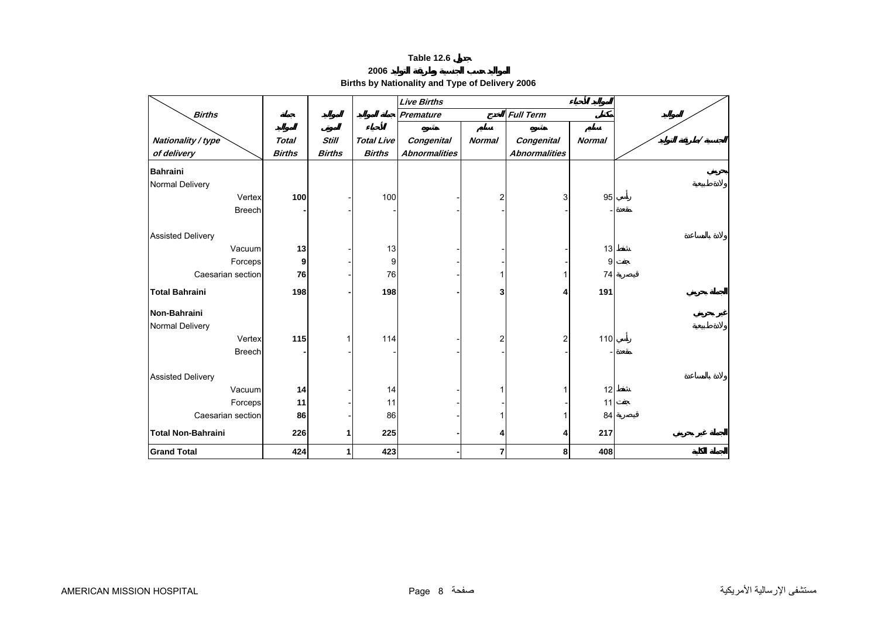**2006**

**Births by Nationality and Type of Delivery 2006** 

<span id="page-6-0"></span>

|                           |               |               |                   | <b>Live Births</b>   |                |                      |               |  |
|---------------------------|---------------|---------------|-------------------|----------------------|----------------|----------------------|---------------|--|
| <b>Births</b>             |               |               |                   | <b>Premature</b>     |                | <b>Full Term</b>     |               |  |
|                           |               |               |                   |                      |                |                      |               |  |
| Nationality / type        | <b>Total</b>  | <b>Still</b>  | <b>Total Live</b> | Congenital           | <b>Normal</b>  | Congenital           | <b>Normal</b> |  |
| of delivery               | <b>Births</b> | <b>Births</b> | <b>Births</b>     | <b>Abnormalities</b> |                | <b>Abnormalities</b> |               |  |
| <b>Bahraini</b>           |               |               |                   |                      |                |                      |               |  |
| Normal Delivery           |               |               |                   |                      |                |                      |               |  |
| Vertex                    | 100           |               | 100               |                      | $\overline{c}$ | 3                    | 95            |  |
| <b>Breech</b>             |               |               |                   |                      |                |                      |               |  |
|                           |               |               |                   |                      |                |                      |               |  |
| <b>Assisted Delivery</b>  |               |               |                   |                      |                |                      |               |  |
| Vacuum                    | 13            |               | 13                |                      |                |                      | 13            |  |
| Forceps                   | 9             |               | 9                 |                      |                |                      | 9             |  |
| Caesarian section         | 76            |               | 76                |                      |                | 1                    | 74            |  |
| <b>Total Bahraini</b>     | 198           |               | 198               |                      | 3              | 4                    | 191           |  |
|                           |               |               |                   |                      |                |                      |               |  |
| Non-Bahraini              |               |               |                   |                      |                |                      |               |  |
| Normal Delivery           |               |               |                   |                      |                |                      |               |  |
| Vertex                    | 115           |               | 114               |                      | $\overline{c}$ | 2                    | 110           |  |
| <b>Breech</b>             |               |               |                   |                      |                |                      |               |  |
|                           |               |               |                   |                      |                |                      |               |  |
| <b>Assisted Delivery</b>  |               |               |                   |                      |                |                      |               |  |
| Vacuum                    | 14            |               | 14                |                      |                | 1                    | 12            |  |
| Forceps                   | 11            |               | 11                |                      |                |                      | 11            |  |
| Caesarian section         | 86            |               | 86                |                      |                |                      | 84            |  |
| <b>Total Non-Bahraini</b> | 226           |               | 225               |                      |                | 4                    | 217           |  |
| <b>Grand Total</b>        | 424           |               | 423               |                      | 7              | 8                    | 408           |  |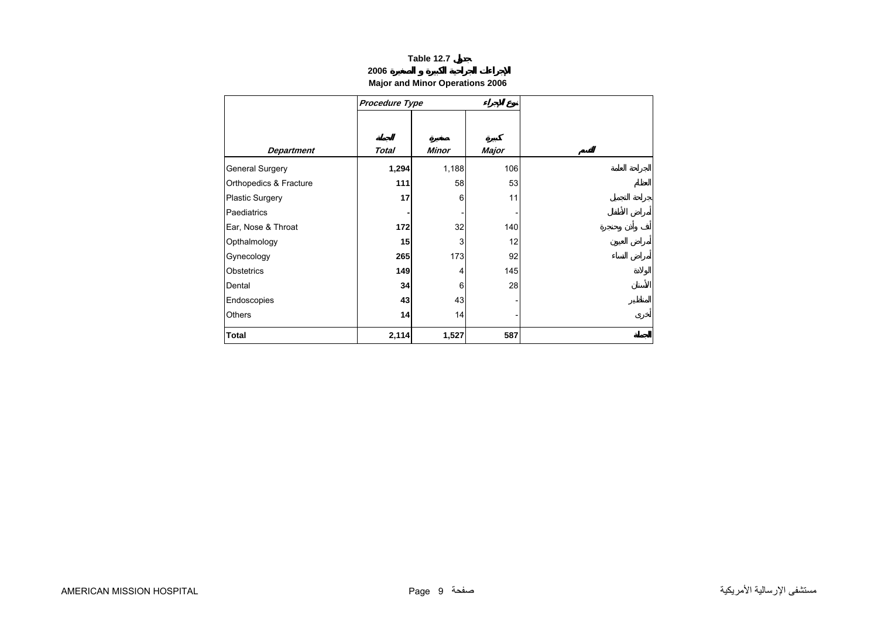### **2006**

# **Major and Minor Operations 2006**

<span id="page-7-0"></span>

|                        | Procedure Type |              |       |
|------------------------|----------------|--------------|-------|
|                        |                |              |       |
|                        |                |              |       |
| <b>Department</b>      | <b>Total</b>   | <b>Minor</b> | Major |
| <b>General Surgery</b> | 1,294          | 1,188        | 106   |
| Orthopedics & Fracture | 111            | 58           | 53    |
| <b>Plastic Surgery</b> | 17             | 6            | 11    |
| Paediatrics            |                |              |       |
| Ear, Nose & Throat     | 172            | 32           | 140   |
| Opthalmology           | 15             | 3            | 12    |
| Gynecology             | 265            | 173          | 92    |
| Obstetrics             | 149            | 4            | 145   |
| Dental                 | 34             | 6            | 28    |
| Endoscopies            | 43             | 43           |       |
| <b>Others</b>          | 14             | 14           |       |
| <b>Total</b>           | 2,114          | 1,527        | 587   |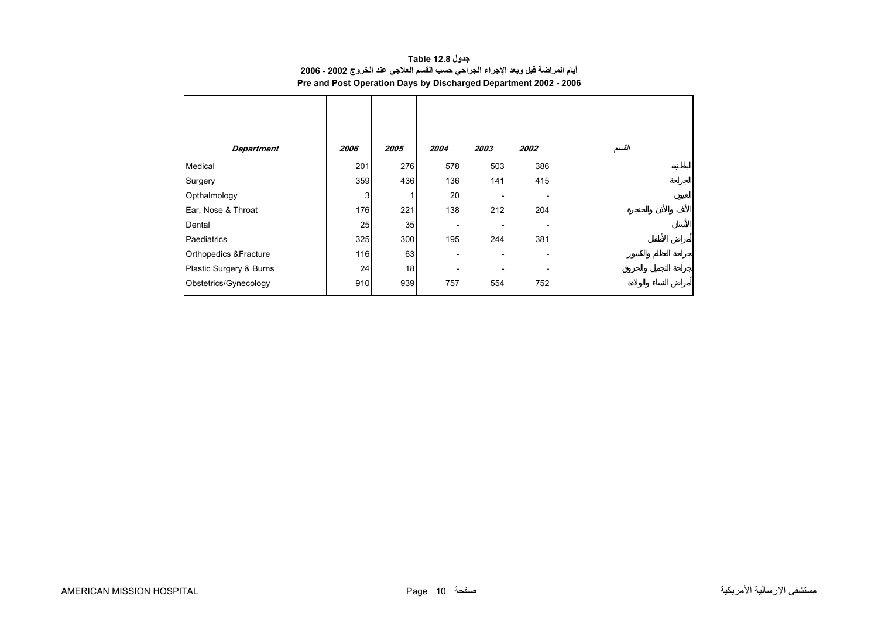| جدول Table 12.8                                                                |
|--------------------------------------------------------------------------------|
| أيام المراضة قبل وبعد الإجراء الجراحي حسب القسم العلاجي عند الخروج 2002 - 2006 |
| Pre and Post Operation Days by Discharged Department 2002 - 2006               |

<span id="page-8-0"></span>

| <b>Department</b>       | 2006 | 2005 | 2004 | 2003 | 2002 | القسم |
|-------------------------|------|------|------|------|------|-------|
| Medical                 | 201  | 276  | 578  | 503  | 386  |       |
| Surgery                 | 359  | 436  | 136  | 141  | 415  |       |
| Opthalmology            | 3    |      | 20   |      |      |       |
| Ear, Nose & Throat      | 176  | 221  | 138  | 212  | 204  |       |
| Dental                  | 25   | 35   |      |      |      |       |
| Paediatrics             | 325  | 300  | 195  | 244  | 381  |       |
| Orthopedics & Fracture  | 116  | 63   |      |      |      |       |
| Plastic Surgery & Burns | 24   | 18   |      |      |      |       |
| Obstetrics/Gynecology   | 910  | 939  | 757  | 554  | 752  |       |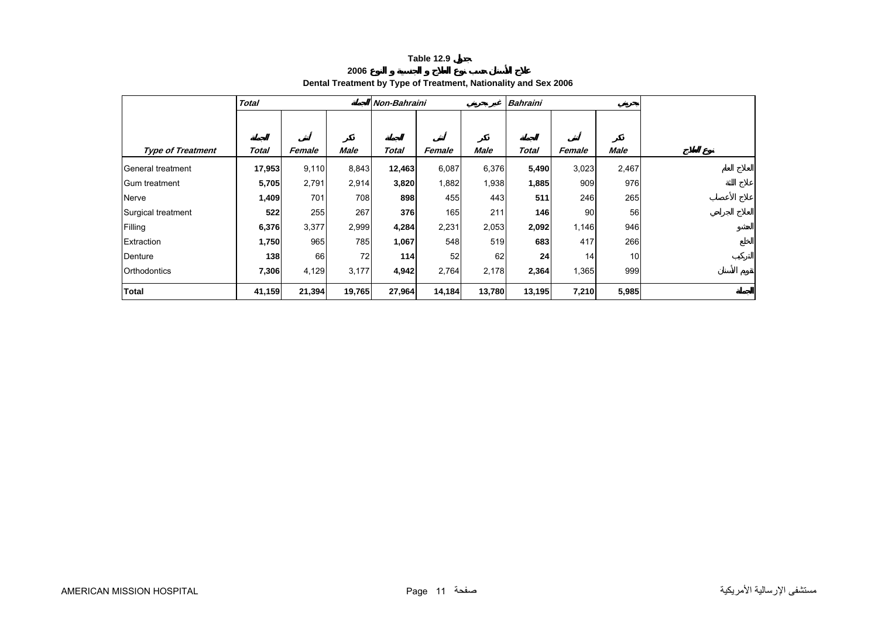# **2006Dental Treatment by Type of Treatment, Nationality and Sex 2006**

<span id="page-9-0"></span>

|                          | <b>Total</b> |        |        | Non-Bahraini |        |        | <b>Bahraini</b> |                 |                 |
|--------------------------|--------------|--------|--------|--------------|--------|--------|-----------------|-----------------|-----------------|
|                          |              |        |        |              |        |        |                 |                 |                 |
| <b>Type of Treatment</b> | Total        | Female | Male   | Total        | Female | Male   | Total           | Female          | Male            |
| General treatment        | 17,953       | 9,110  | 8,843  | 12,463       | 6,087  | 6,376  | 5,490           | 3,023           | 2,467           |
| Gum treatment            | 5,705        | 2,791  | 2,914  | 3,820        | 1,882  | 1,938  | 1,885           | 909             | 976             |
| Nerve                    | 1,409        | 701    | 708    | 898          | 455    | 443    | 511             | 246             | 265             |
| Surgical treatment       | 522          | 255    | 267    | 376          | 165    | 211    | 146             | 90 <sup>1</sup> | 56              |
| Filling                  | 6,376        | 3,377  | 2,999  | 4,284        | 2,231  | 2,053  | 2,092           | 1,146           | 946             |
| Extraction               | 1,750        | 965    | 785    | 1,067        | 548    | 519    | 683             | 417             | 266             |
| Denture                  | 138          | 66     | 72     | 114          | 52     | 62     | 24              | 14              | 10 <sup>1</sup> |
| Orthodontics             | 7,306        | 4,129  | 3,177  | 4,942        | 2,764  | 2,178  | 2,364           | 1,365           | 999             |
| <b>Total</b>             | 41,159       | 21,394 | 19,765 | 27,964       | 14,184 | 13,780 | 13,195          | 7,210           | 5,985           |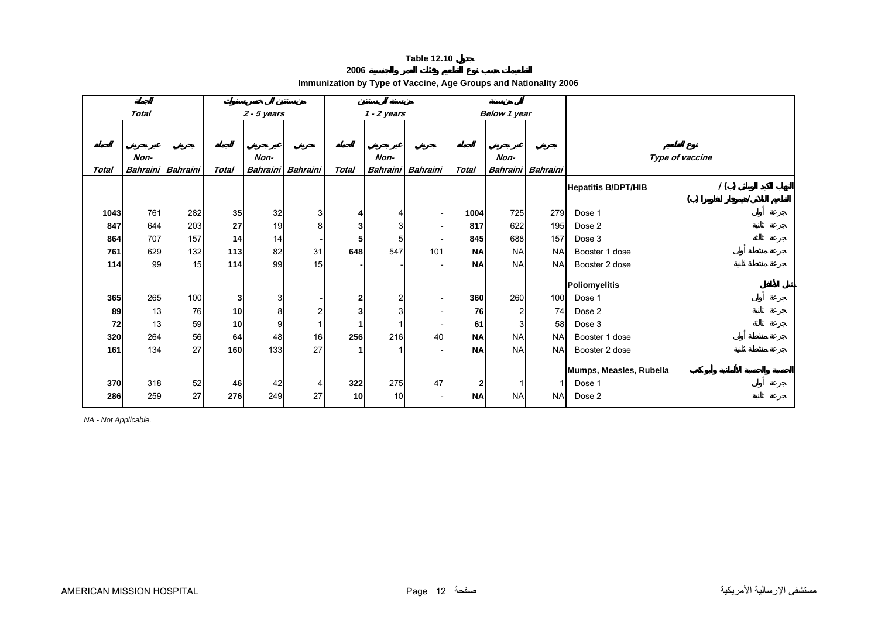**2006**

**Immunization by Type of Vaccine, Age Groups and Nationality 2006** 

<span id="page-10-0"></span>

| <b>Total</b> |      |                          | $2 - 5$ years |                 |                 |              |                 |                 | Below 1 year |                |                   |                                   |  |  |
|--------------|------|--------------------------|---------------|-----------------|-----------------|--------------|-----------------|-----------------|--------------|----------------|-------------------|-----------------------------------|--|--|
|              |      |                          |               | $1 - 2$ years   |                 |              |                 |                 |              |                |                   |                                   |  |  |
|              |      |                          |               |                 |                 |              |                 |                 |              |                |                   |                                   |  |  |
|              |      |                          |               |                 |                 |              |                 |                 |              |                |                   |                                   |  |  |
|              | Non- |                          |               | Non-            |                 |              | Non-            |                 |              | Non-           |                   | Type of vaccine                   |  |  |
| Total        |      | <b>Bahraini</b> Bahraini | <b>Total</b>  | <b>Bahraini</b> | <b>Bahraini</b> | <b>Total</b> | <b>Bahraini</b> | <b>Bahraini</b> | <b>Total</b> |                | Bahraini Bahraini |                                   |  |  |
|              |      |                          |               |                 |                 |              |                 |                 |              |                |                   | 1()<br><b>Hepatitis B/DPT/HIB</b> |  |  |
|              |      |                          |               |                 |                 |              |                 |                 |              |                |                   | ( )                               |  |  |
| 1043         | 761  | 282                      | 35            | 32              | 3               |              |                 |                 | 1004         | 725            | 279               | Dose 1                            |  |  |
| 847          | 644  | 203                      | 27            | 19              | 8               | 3            |                 |                 | 817          | 622            | 195               | Dose 2                            |  |  |
| 864          | 707  | 157                      | 14            | 14              |                 | 5            |                 |                 | 845          | 688            | 157               | Dose 3                            |  |  |
| 761          | 629  | 132                      | 113           | 82              | 31              | 648          | 547             | 101             | <b>NA</b>    | <b>NA</b>      | <b>NA</b>         | Booster 1 dose                    |  |  |
| 114          | 99   | 15                       | 114           | 99              | 15              |              |                 |                 | <b>NA</b>    | <b>NA</b>      | <b>NA</b>         | Booster 2 dose                    |  |  |
|              |      |                          |               |                 |                 |              |                 |                 |              |                |                   |                                   |  |  |
|              |      |                          |               |                 |                 |              |                 |                 |              |                |                   | Poliomyelitis                     |  |  |
| 365          | 265  | 100                      | $\mathbf{3}$  | 3               |                 | $\mathbf{2}$ | 2               |                 | 360          | 260            | 100               | Dose 1                            |  |  |
| 89           | 13   | 76                       | 10            | 8               | 2               | 3            |                 |                 | 76           | $\overline{2}$ | 74                | Dose 2                            |  |  |
| 72           | 13   | 59                       | 10            | 9               |                 |              |                 |                 | 61           | 3              | 58                | Dose 3                            |  |  |
| 320          | 264  | 56                       | 64            | 48              | 16              | 256          | 216             | 40              | <b>NA</b>    | <b>NA</b>      | <b>NA</b>         | Booster 1 dose                    |  |  |
| 161          | 134  | 27                       | 160           | 133             | 27              |              |                 |                 | <b>NA</b>    | <b>NA</b>      | <b>NA</b>         | Booster 2 dose                    |  |  |
|              |      |                          |               |                 |                 |              |                 |                 |              |                |                   |                                   |  |  |
|              |      |                          |               |                 |                 |              |                 |                 |              |                |                   | Mumps, Measles, Rubella           |  |  |
| 370          | 318  | 52                       | 46            | 42              | 4               | 322          | 275             | 47              | 2            |                |                   | Dose 1                            |  |  |
| 286          | 259  | 27                       | 276           | 249             | 27              | 10           | 10              |                 | <b>NA</b>    | <b>NA</b>      | <b>NA</b>         | Dose 2                            |  |  |

*NA - Not Applicable.*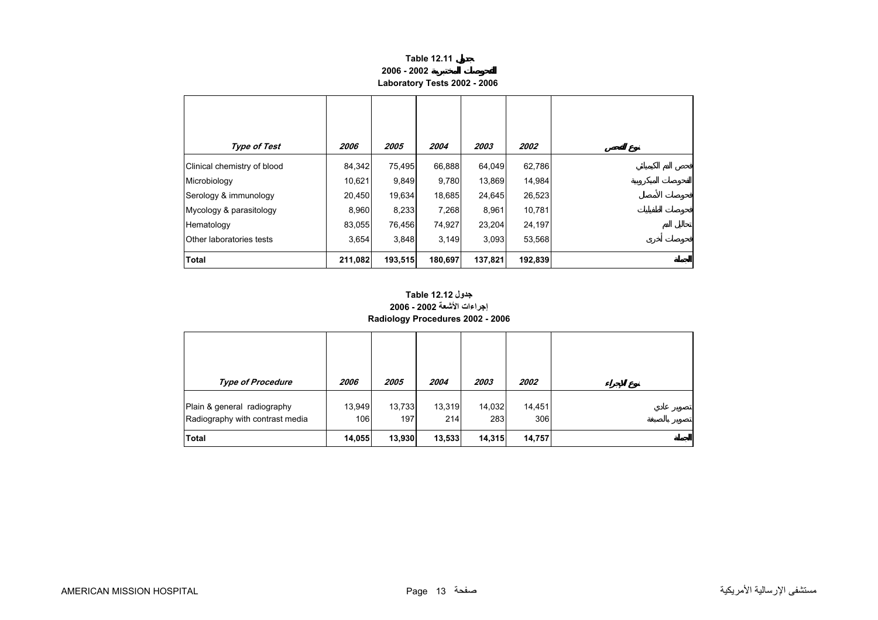#### **Table 12.11 2006 - 2002Laboratory Tests 2002 - 2006**

<span id="page-11-0"></span>

| <b>Type of Test</b>         | 2006    | 2005    | 2004    | 2003    | 2002    |
|-----------------------------|---------|---------|---------|---------|---------|
| Clinical chemistry of blood | 84,342  | 75,495  | 66,888  | 64,049  | 62,786  |
| Microbiology                | 10,621  | 9,849   | 9,780   | 13,869  | 14,984  |
| Serology & immunology       | 20,450  | 19,634  | 18,685  | 24,645  | 26,523  |
| Mycology & parasitology     | 8,960   | 8,233   | 7,268   | 8,961   | 10,781  |
| Hematology                  | 83,055  | 76,456  | 74,927  | 23,204  | 24,197  |
| Other laboratories tests    | 3,654   | 3,848   | 3,149   | 3,093   | 53,568  |
| <b>Total</b>                | 211,082 | 193,515 | 180,697 | 137,821 | 192,839 |

## **إجراءات الأشعة 2002 - 2006 Radiology Procedures 2002 - 2006 جدول 12.12 Table**

| <b>Type of Procedure</b>                                       | <i><b>2006</b></i> | 2005          | 2004          | 2003          | 2002          |
|----------------------------------------------------------------|--------------------|---------------|---------------|---------------|---------------|
| Plain & general radiography<br>Radiography with contrast media | 13,949<br>106      | 13,733<br>197 | 13,319<br>214 | 14,032<br>283 | 14,451<br>306 |
| <b>Total</b>                                                   | 14,055             | 13,930        | 13,533        | 14,315        | 14,757        |